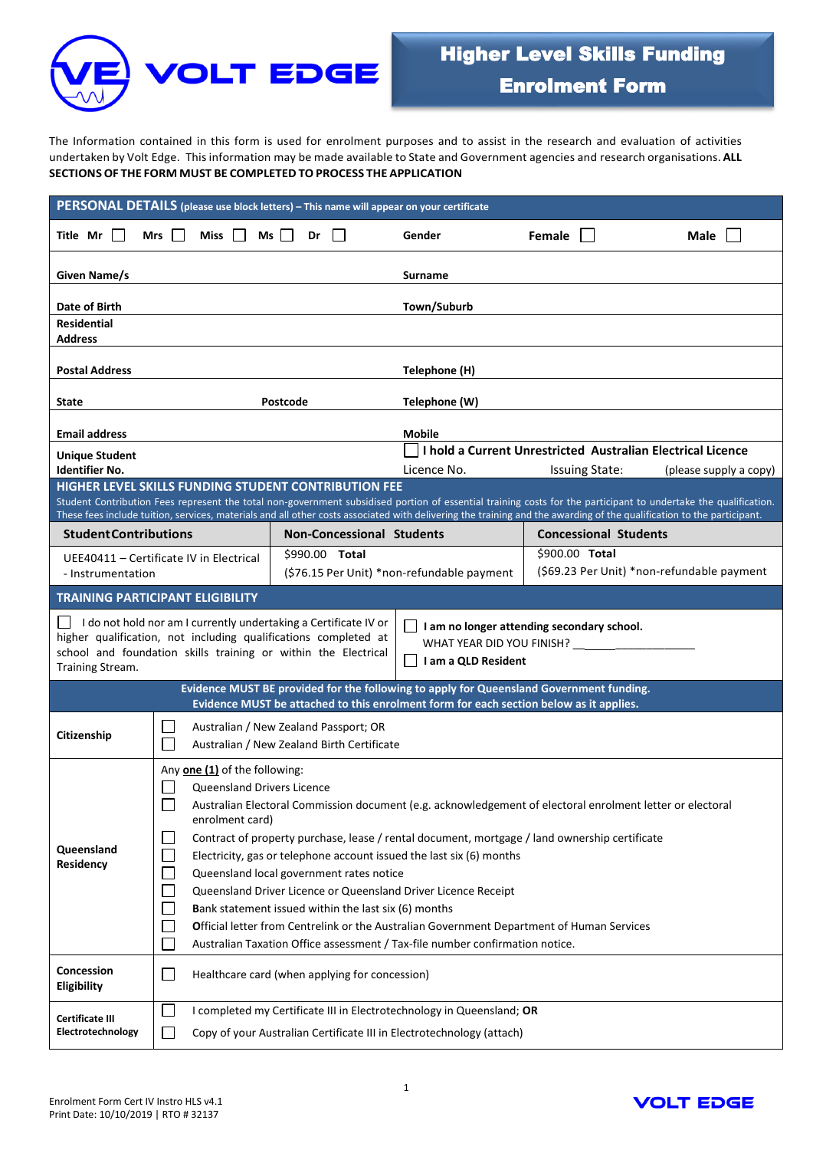

The Information contained in this form is used for enrolment purposes and to assist in the research and evaluation of activities undertaken by Volt Edge. Thisinformation may be made available to State and Government agencies and research organisations. **ALL SECTIONSOF THE FORM MUST BE COMPLETED TOPROCESS THE APPLICATION**

| PERSONAL DETAILS (please use block letters) - This name will appear on your certificate                                                                                                                                                                                                                                                                                                                 |                                                                                                                                                                                                                                                                                                                                                                                                                                                                                                                                                                                                                                                                                                                                |                                                                                     |                                  |                                                             |                                            |  |
|---------------------------------------------------------------------------------------------------------------------------------------------------------------------------------------------------------------------------------------------------------------------------------------------------------------------------------------------------------------------------------------------------------|--------------------------------------------------------------------------------------------------------------------------------------------------------------------------------------------------------------------------------------------------------------------------------------------------------------------------------------------------------------------------------------------------------------------------------------------------------------------------------------------------------------------------------------------------------------------------------------------------------------------------------------------------------------------------------------------------------------------------------|-------------------------------------------------------------------------------------|----------------------------------|-------------------------------------------------------------|--------------------------------------------|--|
| Title Mr $\vert \ \vert$                                                                                                                                                                                                                                                                                                                                                                                | <b>Miss</b><br>Mrs<br>$\perp$                                                                                                                                                                                                                                                                                                                                                                                                                                                                                                                                                                                                                                                                                                  | $Ms$   <br>Dr                                                                       | Gender                           | Female                                                      | Male                                       |  |
| Given Name/s                                                                                                                                                                                                                                                                                                                                                                                            |                                                                                                                                                                                                                                                                                                                                                                                                                                                                                                                                                                                                                                                                                                                                |                                                                                     | <b>Surname</b>                   |                                                             |                                            |  |
| Date of Birth<br><b>Residential</b><br><b>Address</b>                                                                                                                                                                                                                                                                                                                                                   |                                                                                                                                                                                                                                                                                                                                                                                                                                                                                                                                                                                                                                                                                                                                |                                                                                     | Town/Suburb                      |                                                             |                                            |  |
| <b>Postal Address</b>                                                                                                                                                                                                                                                                                                                                                                                   |                                                                                                                                                                                                                                                                                                                                                                                                                                                                                                                                                                                                                                                                                                                                |                                                                                     | Telephone (H)                    |                                                             |                                            |  |
| Postcode<br>State                                                                                                                                                                                                                                                                                                                                                                                       |                                                                                                                                                                                                                                                                                                                                                                                                                                                                                                                                                                                                                                                                                                                                |                                                                                     | Telephone (W)                    |                                                             |                                            |  |
| <b>Email address</b>                                                                                                                                                                                                                                                                                                                                                                                    |                                                                                                                                                                                                                                                                                                                                                                                                                                                                                                                                                                                                                                                                                                                                |                                                                                     | <b>Mobile</b>                    |                                                             |                                            |  |
| Unique Student                                                                                                                                                                                                                                                                                                                                                                                          |                                                                                                                                                                                                                                                                                                                                                                                                                                                                                                                                                                                                                                                                                                                                |                                                                                     |                                  | I hold a Current Unrestricted Australian Electrical Licence |                                            |  |
| <b>Identifier No.</b>                                                                                                                                                                                                                                                                                                                                                                                   |                                                                                                                                                                                                                                                                                                                                                                                                                                                                                                                                                                                                                                                                                                                                |                                                                                     | Licence No.                      | <b>Issuing State:</b>                                       | (please supply a copy)                     |  |
| <b>HIGHER LEVEL SKILLS FUNDING STUDENT CONTRIBUTION FEE</b><br>Student Contribution Fees represent the total non-government subsidised portion of essential training costs for the participant to undertake the qualification.<br>These fees include tuition, services, materials and all other costs associated with delivering the training and the awarding of the qualification to the participant. |                                                                                                                                                                                                                                                                                                                                                                                                                                                                                                                                                                                                                                                                                                                                |                                                                                     |                                  |                                                             |                                            |  |
| <b>Student Contributions</b>                                                                                                                                                                                                                                                                                                                                                                            |                                                                                                                                                                                                                                                                                                                                                                                                                                                                                                                                                                                                                                                                                                                                |                                                                                     | <b>Non-Concessional Students</b> | <b>Concessional Students</b>                                |                                            |  |
| UEE40411 - Certificate IV in Electrical                                                                                                                                                                                                                                                                                                                                                                 |                                                                                                                                                                                                                                                                                                                                                                                                                                                                                                                                                                                                                                                                                                                                | \$990.00 Total                                                                      |                                  | \$900.00 Total                                              |                                            |  |
| - Instrumentation                                                                                                                                                                                                                                                                                                                                                                                       |                                                                                                                                                                                                                                                                                                                                                                                                                                                                                                                                                                                                                                                                                                                                | (\$76.15 Per Unit) *non-refundable payment                                          |                                  |                                                             | (\$69.23 Per Unit) *non-refundable payment |  |
| TRAINING PARTICIPANT ELIGIBILITY                                                                                                                                                                                                                                                                                                                                                                        |                                                                                                                                                                                                                                                                                                                                                                                                                                                                                                                                                                                                                                                                                                                                |                                                                                     |                                  |                                                             |                                            |  |
| $\Box$ I do not hold nor am I currently undertaking a Certificate IV or<br>I am no longer attending secondary school.<br>higher qualification, not including qualifications completed at<br>WHAT YEAR DID YOU FINISH?<br>school and foundation skills training or within the Electrical<br>I am a QLD Resident<br>Training Stream.                                                                      |                                                                                                                                                                                                                                                                                                                                                                                                                                                                                                                                                                                                                                                                                                                                |                                                                                     |                                  |                                                             |                                            |  |
| Evidence MUST BE provided for the following to apply for Queensland Government funding.<br>Evidence MUST be attached to this enrolment form for each section below as it applies.                                                                                                                                                                                                                       |                                                                                                                                                                                                                                                                                                                                                                                                                                                                                                                                                                                                                                                                                                                                |                                                                                     |                                  |                                                             |                                            |  |
| Citizenship                                                                                                                                                                                                                                                                                                                                                                                             | $\mathcal{L}$                                                                                                                                                                                                                                                                                                                                                                                                                                                                                                                                                                                                                                                                                                                  | Australian / New Zealand Passport; OR<br>Australian / New Zealand Birth Certificate |                                  |                                                             |                                            |  |
| Queensland<br>Residency                                                                                                                                                                                                                                                                                                                                                                                 | Any one (1) of the following:<br><b>Queensland Drivers Licence</b><br>Australian Electoral Commission document (e.g. acknowledgement of electoral enrolment letter or electoral<br>enrolment card)<br>Contract of property purchase, lease / rental document, mortgage / land ownership certificate<br>Electricity, gas or telephone account issued the last six (6) months<br>Queensland local government rates notice<br>Queensland Driver Licence or Queensland Driver Licence Receipt<br>Bank statement issued within the last six (6) months<br>Official letter from Centrelink or the Australian Government Department of Human Services<br>Australian Taxation Office assessment / Tax-file number confirmation notice. |                                                                                     |                                  |                                                             |                                            |  |
| Concession<br><b>Eligibility</b>                                                                                                                                                                                                                                                                                                                                                                        | Healthcare card (when applying for concession)                                                                                                                                                                                                                                                                                                                                                                                                                                                                                                                                                                                                                                                                                 |                                                                                     |                                  |                                                             |                                            |  |
| <b>Certificate III</b><br>Electrotechnology                                                                                                                                                                                                                                                                                                                                                             | I completed my Certificate III in Electrotechnology in Queensland; OR                                                                                                                                                                                                                                                                                                                                                                                                                                                                                                                                                                                                                                                          |                                                                                     |                                  |                                                             |                                            |  |
|                                                                                                                                                                                                                                                                                                                                                                                                         | Copy of your Australian Certificate III in Electrotechnology (attach)<br>$\blacksquare$                                                                                                                                                                                                                                                                                                                                                                                                                                                                                                                                                                                                                                        |                                                                                     |                                  |                                                             |                                            |  |

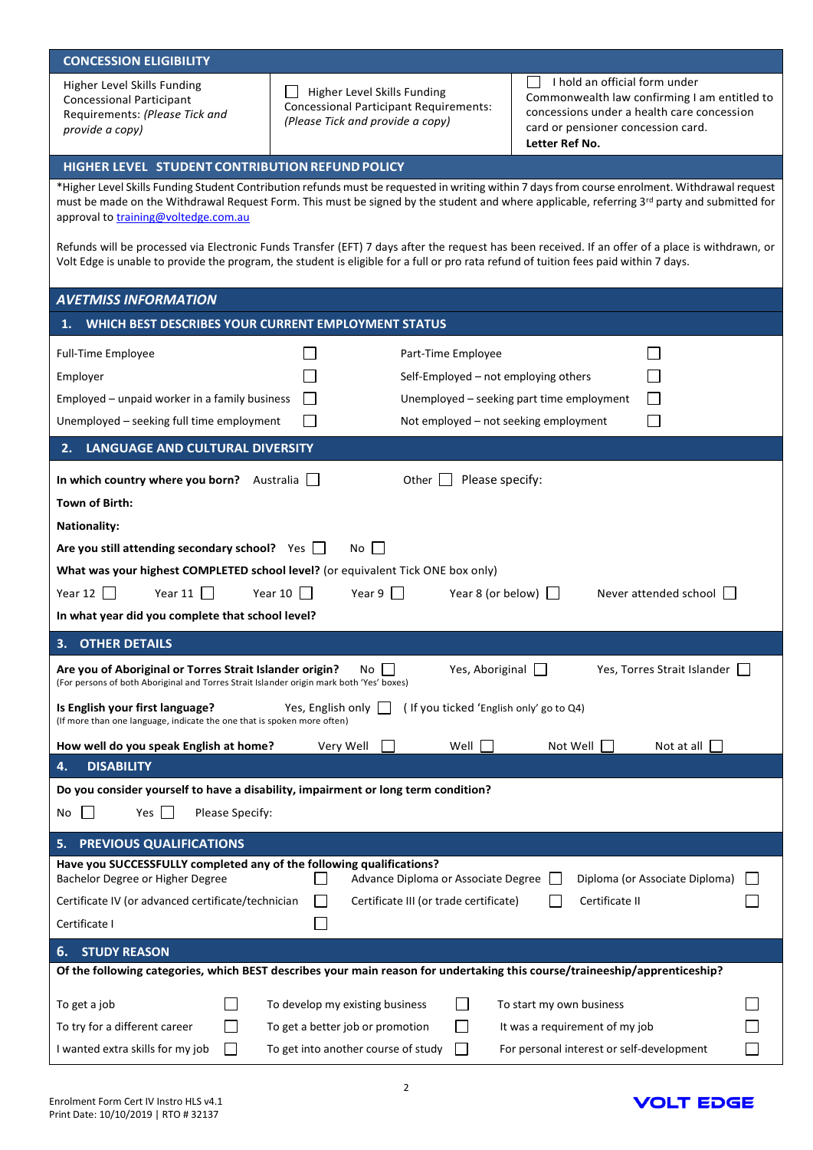| <b>CONCESSION ELIGIBILITY</b>                                                                                                                                                                                                                                                                                                         |                                                                                                                  |                                                                                                                                                                                     |  |  |  |  |  |
|---------------------------------------------------------------------------------------------------------------------------------------------------------------------------------------------------------------------------------------------------------------------------------------------------------------------------------------|------------------------------------------------------------------------------------------------------------------|-------------------------------------------------------------------------------------------------------------------------------------------------------------------------------------|--|--|--|--|--|
| Higher Level Skills Funding<br><b>Concessional Participant</b><br>Requirements: (Please Tick and<br>provide a copy)                                                                                                                                                                                                                   | Higher Level Skills Funding<br><b>Concessional Participant Requirements:</b><br>(Please Tick and provide a copy) | I hold an official form under<br>Commonwealth law confirming I am entitled to<br>concessions under a health care concession<br>card or pensioner concession card.<br>Letter Ref No. |  |  |  |  |  |
| HIGHER LEVEL STUDENT CONTRIBUTION REFUND POLICY                                                                                                                                                                                                                                                                                       |                                                                                                                  |                                                                                                                                                                                     |  |  |  |  |  |
| *Higher Level Skills Funding Student Contribution refunds must be requested in writing within 7 days from course enrolment. Withdrawal request<br>must be made on the Withdrawal Request Form. This must be signed by the student and where applicable, referring 3rd party and submitted for<br>approval to training@voltedge.com.au |                                                                                                                  |                                                                                                                                                                                     |  |  |  |  |  |
| Refunds will be processed via Electronic Funds Transfer (EFT) 7 days after the request has been received. If an offer of a place is withdrawn, or<br>Volt Edge is unable to provide the program, the student is eligible for a full or pro rata refund of tuition fees paid within 7 days.                                            |                                                                                                                  |                                                                                                                                                                                     |  |  |  |  |  |
| <b>AVETMISS INFORMATION</b>                                                                                                                                                                                                                                                                                                           |                                                                                                                  |                                                                                                                                                                                     |  |  |  |  |  |
| WHICH BEST DESCRIBES YOUR CURRENT EMPLOYMENT STATUS                                                                                                                                                                                                                                                                                   |                                                                                                                  |                                                                                                                                                                                     |  |  |  |  |  |
| <b>Full-Time Employee</b>                                                                                                                                                                                                                                                                                                             | Part-Time Employee                                                                                               |                                                                                                                                                                                     |  |  |  |  |  |
| Employer                                                                                                                                                                                                                                                                                                                              |                                                                                                                  | Self-Employed - not employing others                                                                                                                                                |  |  |  |  |  |
| Employed - unpaid worker in a family business                                                                                                                                                                                                                                                                                         |                                                                                                                  | Unemployed - seeking part time employment                                                                                                                                           |  |  |  |  |  |
| Unemployed - seeking full time employment                                                                                                                                                                                                                                                                                             |                                                                                                                  | Not employed - not seeking employment                                                                                                                                               |  |  |  |  |  |
|                                                                                                                                                                                                                                                                                                                                       |                                                                                                                  |                                                                                                                                                                                     |  |  |  |  |  |
| LANGUAGE AND CULTURAL DIVERSITY<br>2.                                                                                                                                                                                                                                                                                                 |                                                                                                                  |                                                                                                                                                                                     |  |  |  |  |  |
| In which country where you born? Australia                                                                                                                                                                                                                                                                                            | Other                                                                                                            | Please specify:                                                                                                                                                                     |  |  |  |  |  |
| Town of Birth:                                                                                                                                                                                                                                                                                                                        |                                                                                                                  |                                                                                                                                                                                     |  |  |  |  |  |
| <b>Nationality:</b>                                                                                                                                                                                                                                                                                                                   |                                                                                                                  |                                                                                                                                                                                     |  |  |  |  |  |
| Are you still attending secondary school? Yes $\Box$<br>No l                                                                                                                                                                                                                                                                          |                                                                                                                  |                                                                                                                                                                                     |  |  |  |  |  |
| What was your highest COMPLETED school level? (or equivalent Tick ONE box only)                                                                                                                                                                                                                                                       |                                                                                                                  |                                                                                                                                                                                     |  |  |  |  |  |
| Year 12 $\Box$<br>Year 11 $\Box$                                                                                                                                                                                                                                                                                                      | Year 10 $\Box$<br>Year 9 $\Box$                                                                                  | Year 8 (or below) [<br>Never attended school                                                                                                                                        |  |  |  |  |  |
| In what year did you complete that school level?                                                                                                                                                                                                                                                                                      |                                                                                                                  |                                                                                                                                                                                     |  |  |  |  |  |
| <b>OTHER DETAILS</b><br>3.                                                                                                                                                                                                                                                                                                            |                                                                                                                  |                                                                                                                                                                                     |  |  |  |  |  |
|                                                                                                                                                                                                                                                                                                                                       |                                                                                                                  |                                                                                                                                                                                     |  |  |  |  |  |
| Yes, Aboriginal<br>Yes, Torres Strait Islander<br>Are you of Aboriginal or Torres Strait Islander origin?<br>No<br>(For persons of both Aboriginal and Torres Strait Islander origin mark both 'Yes' boxes)                                                                                                                           |                                                                                                                  |                                                                                                                                                                                     |  |  |  |  |  |
| (If you ticked 'English only' go to Q4)<br>Is English your first language?<br>Yes, English only<br>(If more than one language, indicate the one that is spoken more often)                                                                                                                                                            |                                                                                                                  |                                                                                                                                                                                     |  |  |  |  |  |
| How well do you speak English at home?                                                                                                                                                                                                                                                                                                | Well<br>Very Well                                                                                                | Not Well<br>Not at all                                                                                                                                                              |  |  |  |  |  |
| <b>DISABILITY</b><br>4.                                                                                                                                                                                                                                                                                                               |                                                                                                                  |                                                                                                                                                                                     |  |  |  |  |  |
| Do you consider yourself to have a disability, impairment or long term condition?                                                                                                                                                                                                                                                     |                                                                                                                  |                                                                                                                                                                                     |  |  |  |  |  |
| Yes<br>Please Specify:<br>No                                                                                                                                                                                                                                                                                                          |                                                                                                                  |                                                                                                                                                                                     |  |  |  |  |  |
| PREVIOUS QUALIFICATIONS<br>5.                                                                                                                                                                                                                                                                                                         |                                                                                                                  |                                                                                                                                                                                     |  |  |  |  |  |
| Have you SUCCESSFULLY completed any of the following qualifications?                                                                                                                                                                                                                                                                  |                                                                                                                  |                                                                                                                                                                                     |  |  |  |  |  |
| Bachelor Degree or Higher Degree<br>Advance Diploma or Associate Degree<br>Diploma (or Associate Diploma)                                                                                                                                                                                                                             |                                                                                                                  |                                                                                                                                                                                     |  |  |  |  |  |
| Certificate II<br>Certificate IV (or advanced certificate/technician<br>Certificate III (or trade certificate)                                                                                                                                                                                                                        |                                                                                                                  |                                                                                                                                                                                     |  |  |  |  |  |
| Certificate I                                                                                                                                                                                                                                                                                                                         |                                                                                                                  |                                                                                                                                                                                     |  |  |  |  |  |
| 6.<br><b>STUDY REASON</b>                                                                                                                                                                                                                                                                                                             |                                                                                                                  |                                                                                                                                                                                     |  |  |  |  |  |
| Of the following categories, which BEST describes your main reason for undertaking this course/traineeship/apprenticeship?                                                                                                                                                                                                            |                                                                                                                  |                                                                                                                                                                                     |  |  |  |  |  |
| To get a job                                                                                                                                                                                                                                                                                                                          | To develop my existing business                                                                                  | To start my own business                                                                                                                                                            |  |  |  |  |  |
| To try for a different career                                                                                                                                                                                                                                                                                                         | To get a better job or promotion                                                                                 | It was a requirement of my job                                                                                                                                                      |  |  |  |  |  |
| I wanted extra skills for my job                                                                                                                                                                                                                                                                                                      | To get into another course of study<br>$\mathsf{I}$                                                              | For personal interest or self-development                                                                                                                                           |  |  |  |  |  |
|                                                                                                                                                                                                                                                                                                                                       |                                                                                                                  |                                                                                                                                                                                     |  |  |  |  |  |